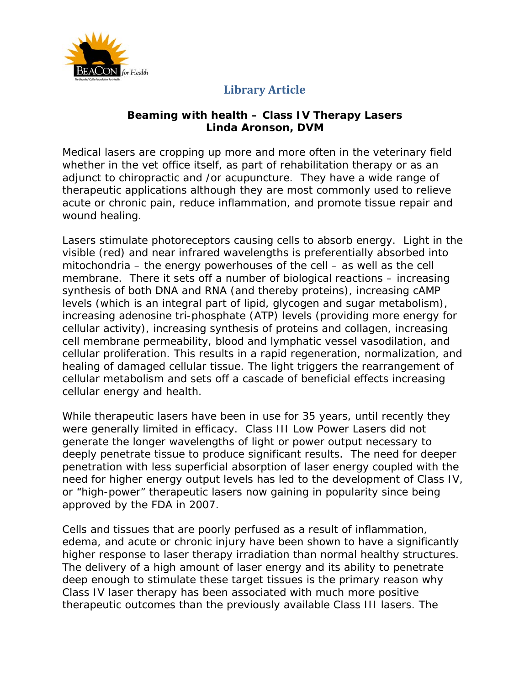

## **Library Article**

## **Beaming with health – Class IV Therapy Lasers Linda Aronson, DVM**

Medical lasers are cropping up more and more often in the veterinary field whether in the vet office itself, as part of rehabilitation therapy or as an adjunct to chiropractic and /or acupuncture. They have a wide range of therapeutic applications although they are most commonly used to relieve acute or chronic pain, reduce inflammation, and promote tissue repair and wound healing.

Lasers stimulate photoreceptors causing cells to absorb energy. Light in the visible (red) and near infrared wavelengths is preferentially absorbed into mitochondria – the energy powerhouses of the cell – as well as the cell membrane. There it sets off a number of biological reactions – increasing synthesis of both DNA and RNA (and thereby proteins), increasing cAMP levels (which is an integral part of lipid, glycogen and sugar metabolism), increasing adenosine tri-phosphate (ATP) levels (providing more energy for cellular activity), increasing synthesis of proteins and collagen, increasing cell membrane permeability, blood and lymphatic vessel vasodilation, and cellular proliferation. This results in a rapid regeneration, normalization, and healing of damaged cellular tissue. The light triggers the rearrangement of cellular metabolism and sets off a cascade of beneficial effects increasing cellular energy and health.

While therapeutic lasers have been in use for 35 years, until recently they were generally limited in efficacy. Class III Low Power Lasers did not generate the longer wavelengths of light or power output necessary to deeply penetrate tissue to produce significant results. The need for deeper penetration with less superficial absorption of laser energy coupled with the need for higher energy output levels has led to the development of Class IV, or "high-power" therapeutic lasers now gaining in popularity since being approved by the FDA in 2007.

Cells and tissues that are poorly perfused as a result of inflammation, edema, and acute or chronic injury have been shown to have a significantly higher response to laser therapy irradiation than normal healthy structures. The delivery of a high amount of laser energy and its ability to penetrate deep enough to stimulate these target tissues is the primary reason why Class IV laser therapy has been associated with much more positive therapeutic outcomes than the previously available Class III lasers. The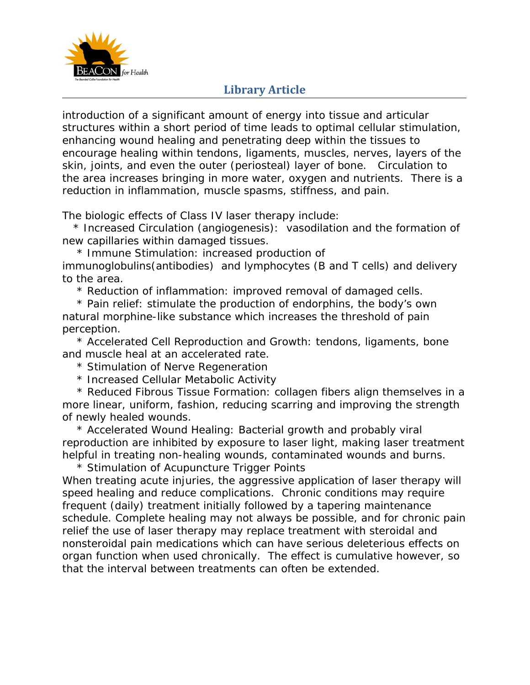

## **Library Article**

introduction of a significant amount of energy into tissue and articular structures within a short period of time leads to optimal cellular stimulation, enhancing wound healing and penetrating deep within the tissues to encourage healing within tendons, ligaments, muscles, nerves, layers of the skin, joints, and even the outer (periosteal) layer of bone. Circulation to the area increases bringing in more water, oxygen and nutrients. There is a reduction in inflammation, muscle spasms, stiffness, and pain.

The biologic effects of Class IV laser therapy include:

 \* Increased Circulation (angiogenesis): vasodilation and the formation of new capillaries within damaged tissues.

\* Immune Stimulation: increased production of

immunoglobulins(antibodies) and lymphocytes (B and T cells) and delivery to the area.

\* Reduction of inflammation: improved removal of damaged cells.

 \* Pain relief: stimulate the production of endorphins, the body's own natural morphine-like substance which increases the threshold of pain perception.

 \* Accelerated Cell Reproduction and Growth: tendons, ligaments, bone and muscle heal at an accelerated rate.

\* Stimulation of Nerve Regeneration

\* Increased Cellular Metabolic Activity

 \* Reduced Fibrous Tissue Formation: collagen fibers align themselves in a more linear, uniform, fashion, reducing scarring and improving the strength of newly healed wounds.

 \* Accelerated Wound Healing: Bacterial growth and probably viral reproduction are inhibited by exposure to laser light, making laser treatment helpful in treating non-healing wounds, contaminated wounds and burns.

 \* Stimulation of Acupuncture Trigger Points When treating acute injuries, the aggressive application of laser therapy will speed healing and reduce complications. Chronic conditions may require frequent (daily) treatment initially followed by a tapering maintenance schedule. Complete healing may not always be possible, and for chronic pain relief the use of laser therapy may replace treatment with steroidal and nonsteroidal pain medications which can have serious deleterious effects on organ function when used chronically. The effect is cumulative however, so that the interval between treatments can often be extended.